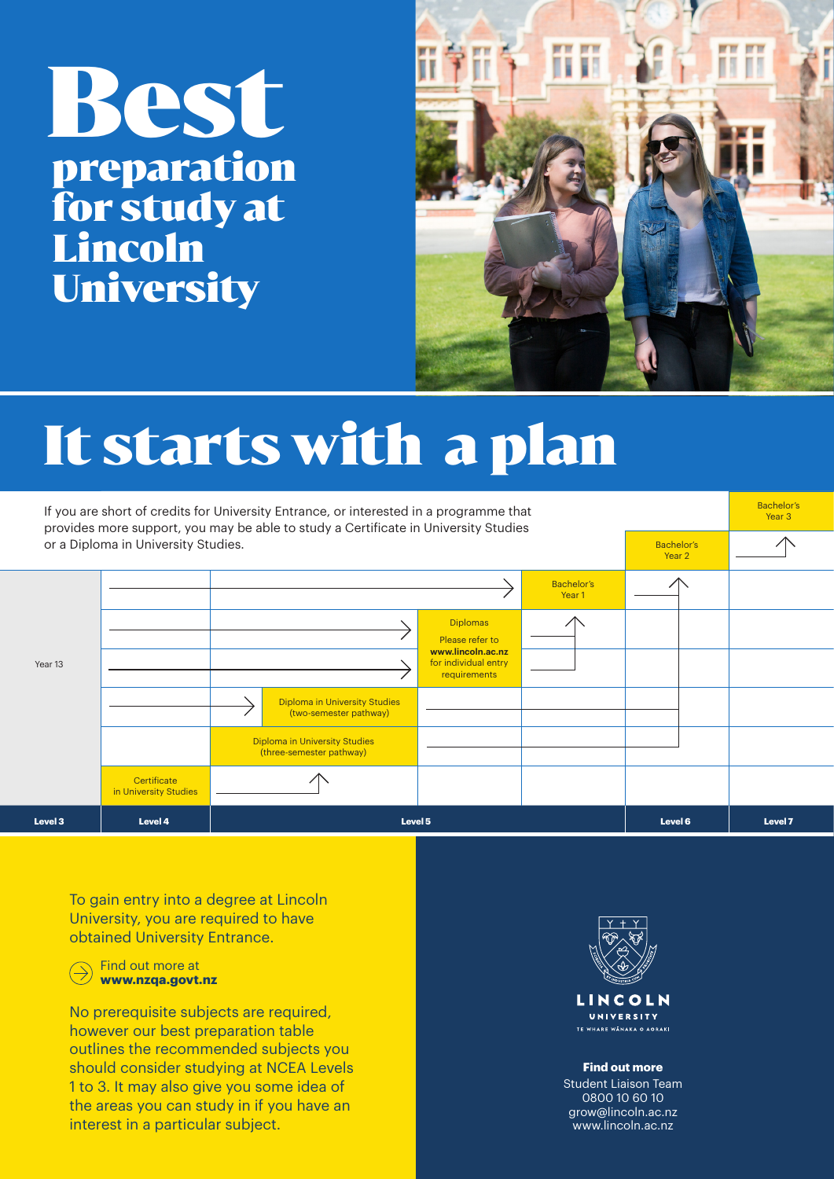## It starts with a plan

|         | If you are short of credits for University Entrance, or interested in a programme that<br>provides more support, you may be able to study a Certificate in University Studies |                             |                                                                  |                                                           |                             |  |  |  |  |  |  |
|---------|-------------------------------------------------------------------------------------------------------------------------------------------------------------------------------|-----------------------------|------------------------------------------------------------------|-----------------------------------------------------------|-----------------------------|--|--|--|--|--|--|
|         | or a Diploma in University Studies.                                                                                                                                           | <b>Bachelor's</b><br>Year 2 |                                                                  |                                                           |                             |  |  |  |  |  |  |
|         |                                                                                                                                                                               |                             |                                                                  |                                                           | <b>Bachelor's</b><br>Year 1 |  |  |  |  |  |  |
| Year 13 |                                                                                                                                                                               |                             |                                                                  | <b>Diplomas</b><br>Please refer to                        |                             |  |  |  |  |  |  |
|         |                                                                                                                                                                               |                             |                                                                  | www.lincoln.ac.nz<br>for individual entry<br>requirements |                             |  |  |  |  |  |  |
|         |                                                                                                                                                                               |                             | <b>Diploma in University Studies</b><br>(two-semester pathway)   |                                                           |                             |  |  |  |  |  |  |
|         |                                                                                                                                                                               |                             | <b>Diploma in University Studies</b><br>(three-semester pathway) |                                                           |                             |  |  |  |  |  |  |
|         | Certificate<br>in University Studies                                                                                                                                          |                             |                                                                  |                                                           |                             |  |  |  |  |  |  |
| Level 3 | Level 4                                                                                                                                                                       |                             | Level 5                                                          | Level 6                                                   | Level 7                     |  |  |  |  |  |  |

## Best preparation for study at Lincoln University



## **Find out more**

Student Liaison Team 0800 10 60 10 grow@lincoln.ac.nz www.lincoln.ac.nz

To gain entry into a degree at Lincoln University, you are required to have obtained University Entrance.

Find out more at **www.nzqa.govt.nz** 

No prerequisite subjects are required, however our best preparation table outlines the recommended subjects you should consider studying at NCEA Levels 1 to 3. It may also give you some idea of the areas you can study in if you have an interest in a particular subject.



LINCOLN UNIVERSITY TE WHARE WANAKA O AORAKI